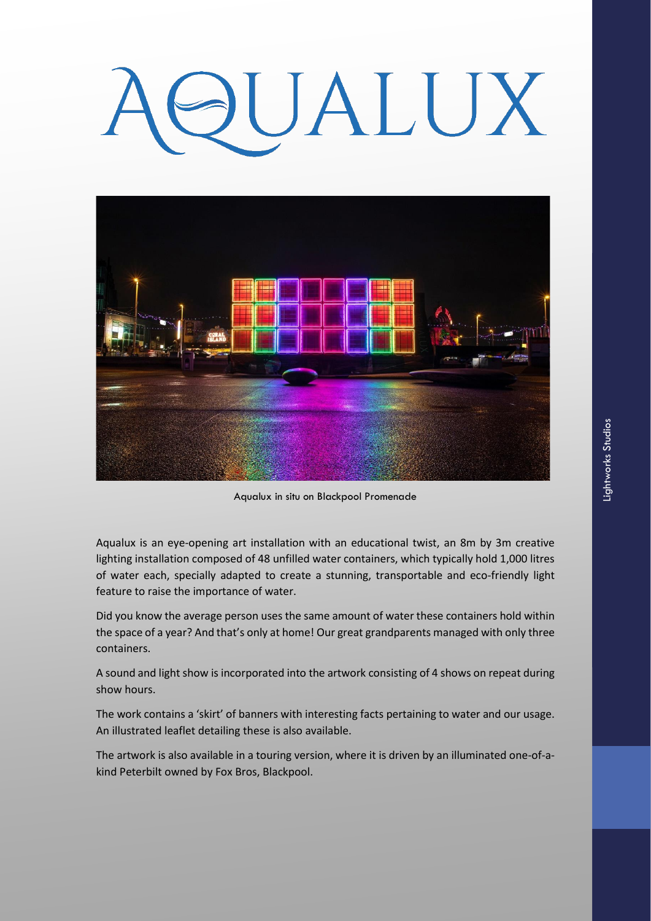# UALUX



Aqualux in situ on Blackpool Promenade

Aqualux is an eye-opening art installation with an educational twist, an 8m by 3m creative lighting installation composed of 48 unfilled water containers, which typically hold 1,000 litres of water each, specially adapted to create a stunning, transportable and eco-friendly light feature to raise the importance of water.

Did you know the average person uses the same amount of water these containers hold within the space of a year? And that's only at home! Our great grandparents managed with only three containers.

A sound and light show is incorporated into the artwork consisting of 4 shows on repeat during show hours.

The work contains a 'skirt' of banners with interesting facts pertaining to water and our usage. An illustrated leaflet detailing these is also available.

The artwork is also available in a touring version, where it is driven by an illuminated one-of-akind Peterbilt owned by Fox Bros, Blackpool.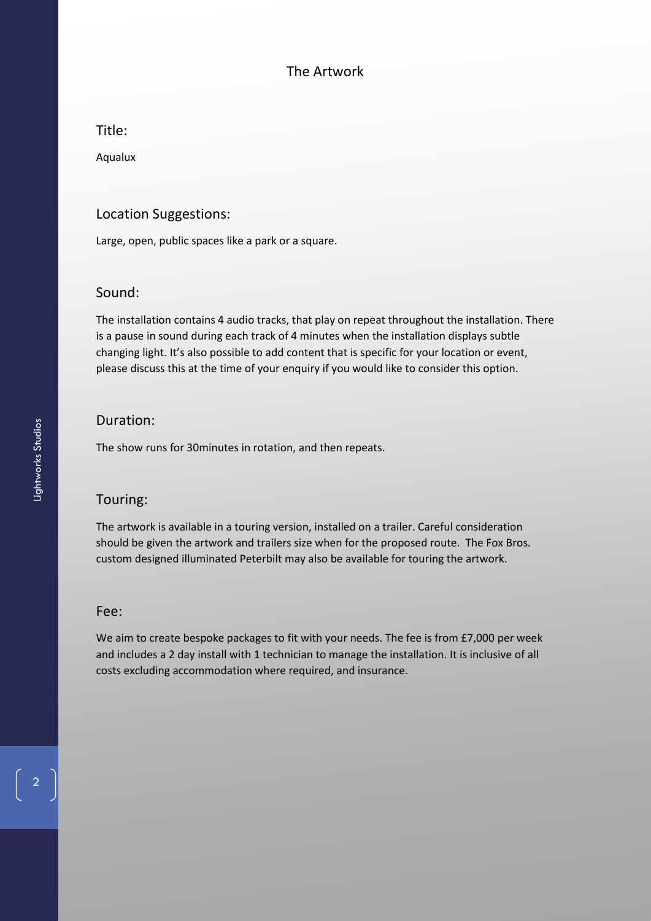# The Artwork

Title:

Aqualux

## Location Suggestions:

Large, open, public spaces like a park or a square.

#### Sound:

The installation contains 4 audio tracks, that play on repeat throughout the installation. There is a pause in sound during each track of 4 minutes when the installation displays subtle changing light. It's also possible to add content that is specific for your location or event, please discuss this at the time of your enquiry if you would like to consider this option.

#### Duration:

The show runs for 30minutes in rotation, and then repeats.

## Touring:

The artwork is available in a touring version, installed on a trailer. Careful consideration should be given the artwork and trailers size when for the proposed route. The Fox Bros. custom designed illuminated Peterbilt may also be available for touring the artwork.

#### Fee:

We aim to create bespoke packages to fit with your needs. The fee is from £7,000 per week and includes a 2 day install with 1 technician to manage the installation. It is inclusive of all costs excluding accommodation where required, and insurance.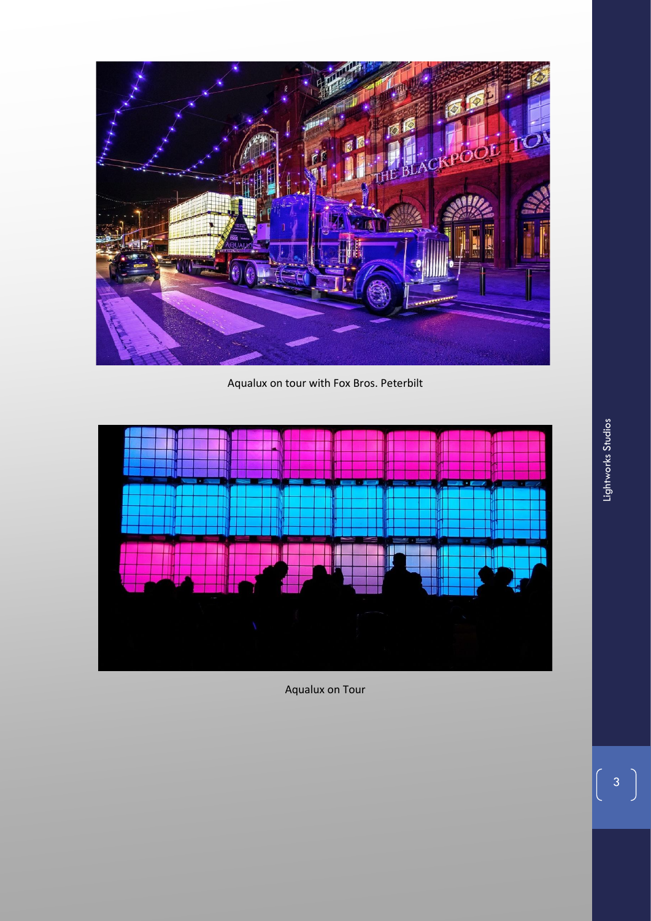

Aqualux on tour with Fox Bros. Peterbilt



Aqualux on Tour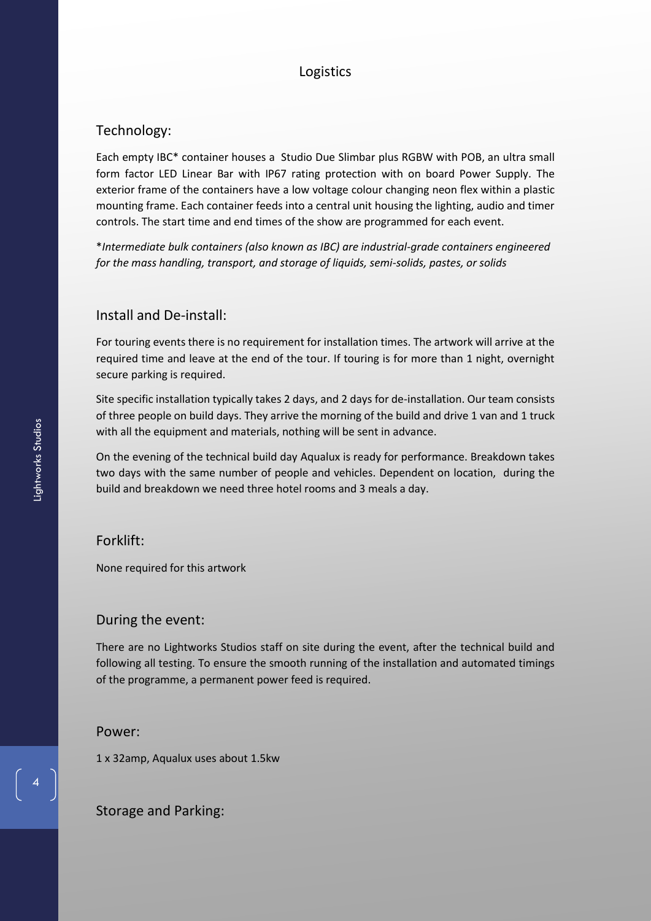# Logistics

## Technology:

Each empty IBC\* container houses a Studio Due Slimbar plus RGBW with POB, an ultra small form factor LED Linear Bar with IP67 rating protection with on board Power Supply. The exterior frame of the containers have a low voltage colour changing neon flex within a plastic mounting frame. Each container feeds into a central unit housing the lighting, audio and timer controls. The start time and end times of the show are programmed for each event.

\**Intermediate bulk containers (also known as IBC) are industrial-grade containers engineered for the mass handling, transport, and storage of liquids, semi-solids, pastes, or solids*

#### Install and De-install:

For touring events there is no requirement for installation times. The artwork will arrive at the required time and leave at the end of the tour. If touring is for more than 1 night, overnight secure parking is required.

Site specific installation typically takes 2 days, and 2 days for de-installation. Our team consists of three people on build days. They arrive the morning of the build and drive 1 van and 1 truck with all the equipment and materials, nothing will be sent in advance.

On the evening of the technical build day Aqualux is ready for performance. Breakdown takes two days with the same number of people and vehicles. Dependent on location, during the build and breakdown we need three hotel rooms and 3 meals a day.

Forklift:

None required for this artwork

#### During the event:

There are no Lightworks Studios staff on site during the event, after the technical build and following all testing. To ensure the smooth running of the installation and automated timings of the programme, a permanent power feed is required.

#### Power:

1 x 32amp, Aqualux uses about 1.5kw

Storage and Parking:

4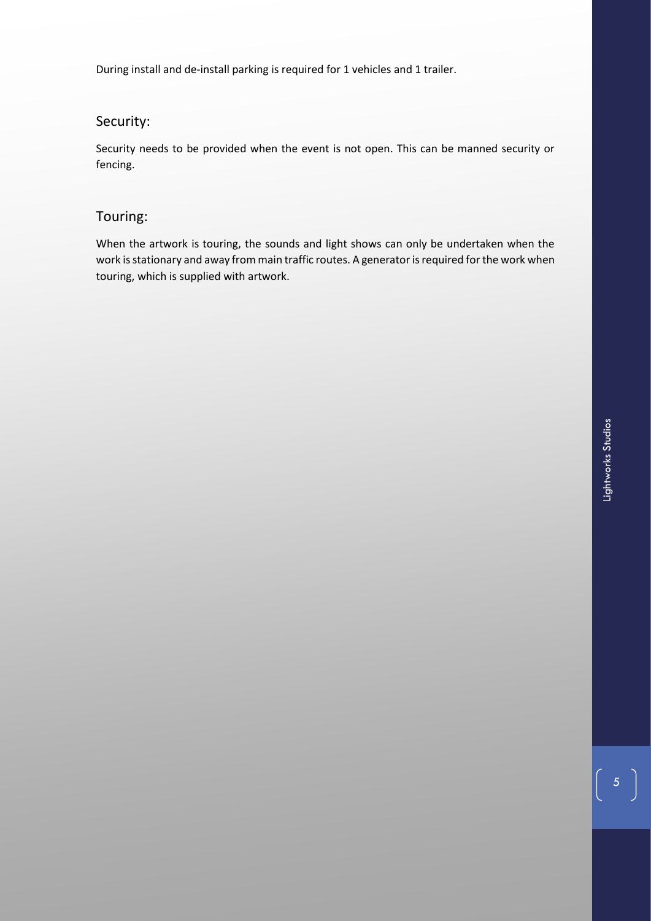During install and de-install parking is required for 1 vehicles and 1 trailer.

# Security:

Security needs to be provided when the event is not open. This can be manned security or fencing.

# Touring:

When the artwork is touring, the sounds and light shows can only be undertaken when the work is stationary and away from main traffic routes. A generator is required for the work when touring, which is supplied with artwork.